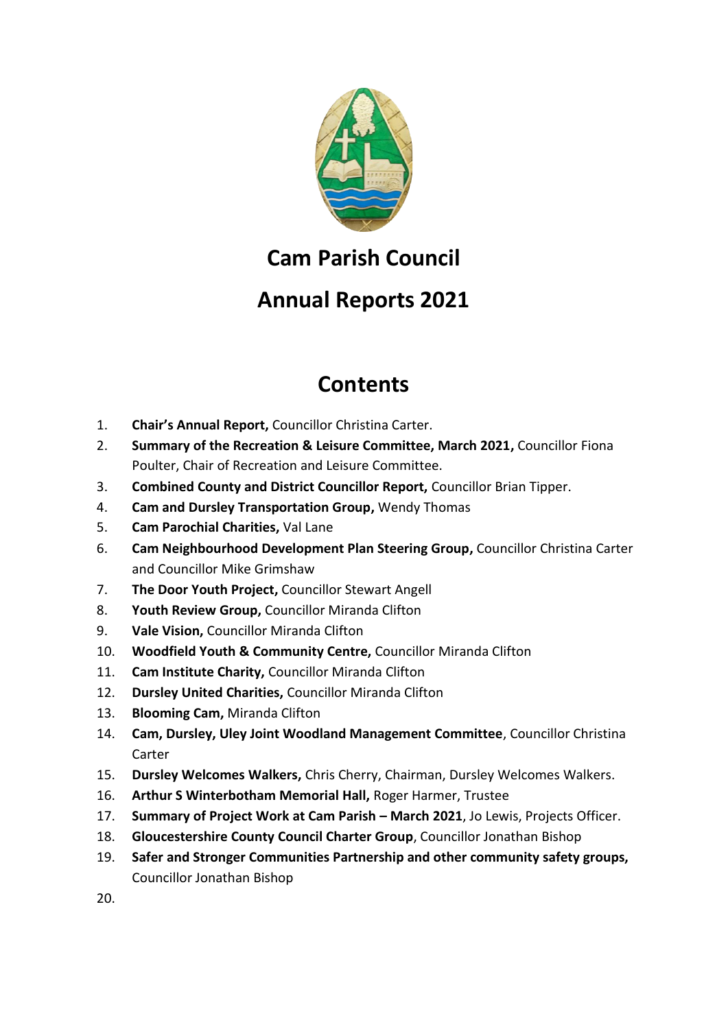

## **Cam Parish Council**

## **Annual Reports 2021**

## **Contents**

- 1. **Chair's Annual Report,** Councillor Christina Carter.
- 2. **Summary of the Recreation & Leisure Committee, March 2021,** Councillor Fiona Poulter, Chair of Recreation and Leisure Committee.
- 3. **Combined County and District Councillor Report,** Councillor Brian Tipper.
- 4. **Cam and Dursley Transportation Group,** Wendy Thomas
- 5. **Cam Parochial Charities,** Val Lane
- 6. **Cam Neighbourhood Development Plan Steering Group,** Councillor Christina Carter and Councillor Mike Grimshaw
- 7. **The Door Youth Project,** Councillor Stewart Angell
- 8. **Youth Review Group,** Councillor Miranda Clifton
- 9. **Vale Vision,** Councillor Miranda Clifton
- 10. **Woodfield Youth & Community Centre,** Councillor Miranda Clifton
- 11. **Cam Institute Charity,** Councillor Miranda Clifton
- 12. **Dursley United Charities,** Councillor Miranda Clifton
- 13. **Blooming Cam,** Miranda Clifton
- 14. **Cam, Dursley, Uley Joint Woodland Management Committee**, Councillor Christina Carter
- 15. **Dursley Welcomes Walkers,** Chris Cherry, Chairman, Dursley Welcomes Walkers.
- 16. **Arthur S Winterbotham Memorial Hall,** Roger Harmer, Trustee
- 17. **Summary of Project Work at Cam Parish – March 2021**, Jo Lewis, Projects Officer.
- 18. **Gloucestershire County Council Charter Group**, Councillor Jonathan Bishop
- 19. **Safer and Stronger Communities Partnership and other community safety groups,** Councillor Jonathan Bishop

20.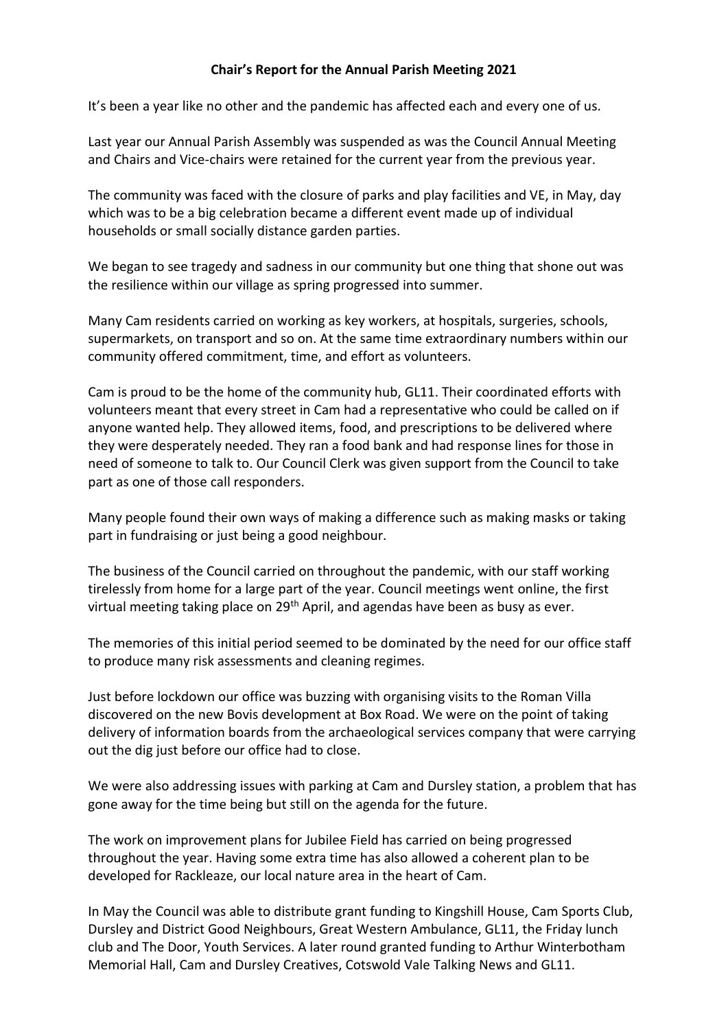#### **Chair's Report for the Annual Parish Meeting 2021**

It's been a year like no other and the pandemic has affected each and every one of us.

Last year our Annual Parish Assembly was suspended as was the Council Annual Meeting and Chairs and Vice-chairs were retained for the current year from the previous year.

The community was faced with the closure of parks and play facilities and VE, in May, day which was to be a big celebration became a different event made up of individual households or small socially distance garden parties.

We began to see tragedy and sadness in our community but one thing that shone out was the resilience within our village as spring progressed into summer.

Many Cam residents carried on working as key workers, at hospitals, surgeries, schools, supermarkets, on transport and so on. At the same time extraordinary numbers within our community offered commitment, time, and effort as volunteers.

Cam is proud to be the home of the community hub, GL11. Their coordinated efforts with volunteers meant that every street in Cam had a representative who could be called on if anyone wanted help. They allowed items, food, and prescriptions to be delivered where they were desperately needed. They ran a food bank and had response lines for those in need of someone to talk to. Our Council Clerk was given support from the Council to take part as one of those call responders.

Many people found their own ways of making a difference such as making masks or taking part in fundraising or just being a good neighbour.

The business of the Council carried on throughout the pandemic, with our staff working tirelessly from home for a large part of the year. Council meetings went online, the first virtual meeting taking place on 29<sup>th</sup> April, and agendas have been as busy as ever.

The memories of this initial period seemed to be dominated by the need for our office staff to produce many risk assessments and cleaning regimes.

Just before lockdown our office was buzzing with organising visits to the Roman Villa discovered on the new Bovis development at Box Road. We were on the point of taking delivery of information boards from the archaeological services company that were carrying out the dig just before our office had to close.

We were also addressing issues with parking at Cam and Dursley station, a problem that has gone away for the time being but still on the agenda for the future.

The work on improvement plans for Jubilee Field has carried on being progressed throughout the year. Having some extra time has also allowed a coherent plan to be developed for Rackleaze, our local nature area in the heart of Cam.

In May the Council was able to distribute grant funding to Kingshill House, Cam Sports Club, Dursley and District Good Neighbours, Great Western Ambulance, GL11, the Friday lunch club and The Door, Youth Services. A later round granted funding to Arthur Winterbotham Memorial Hall, Cam and Dursley Creatives, Cotswold Vale Talking News and GL11.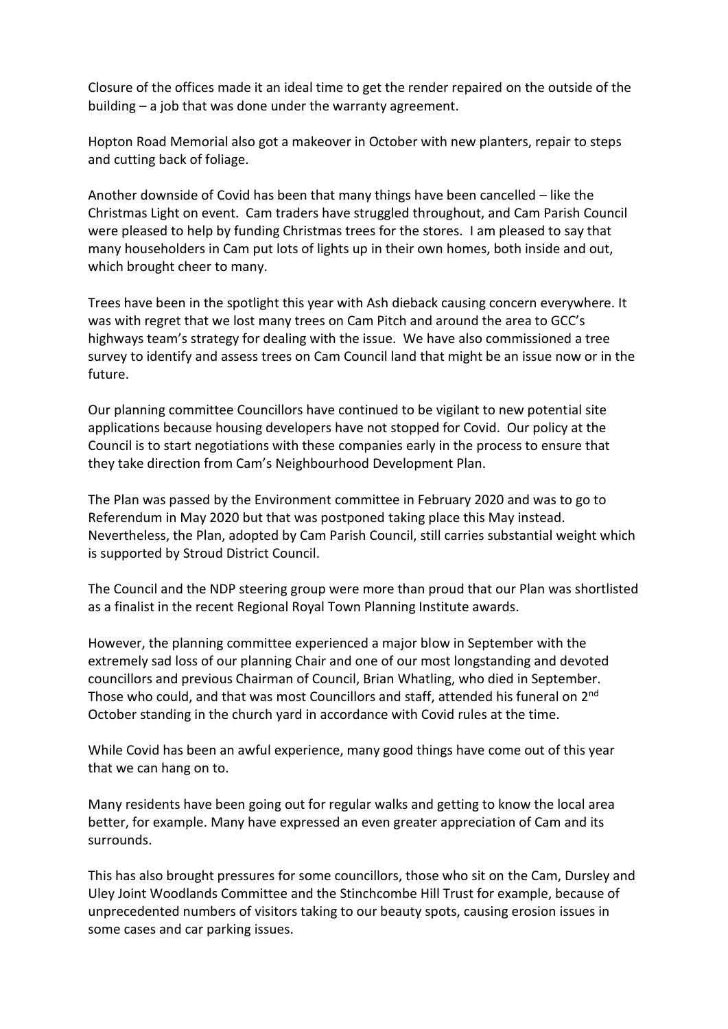Closure of the offices made it an ideal time to get the render repaired on the outside of the building – a job that was done under the warranty agreement.

Hopton Road Memorial also got a makeover in October with new planters, repair to steps and cutting back of foliage.

Another downside of Covid has been that many things have been cancelled – like the Christmas Light on event. Cam traders have struggled throughout, and Cam Parish Council were pleased to help by funding Christmas trees for the stores. I am pleased to say that many householders in Cam put lots of lights up in their own homes, both inside and out, which brought cheer to many.

Trees have been in the spotlight this year with Ash dieback causing concern everywhere. It was with regret that we lost many trees on Cam Pitch and around the area to GCC's highways team's strategy for dealing with the issue. We have also commissioned a tree survey to identify and assess trees on Cam Council land that might be an issue now or in the future.

Our planning committee Councillors have continued to be vigilant to new potential site applications because housing developers have not stopped for Covid. Our policy at the Council is to start negotiations with these companies early in the process to ensure that they take direction from Cam's Neighbourhood Development Plan.

The Plan was passed by the Environment committee in February 2020 and was to go to Referendum in May 2020 but that was postponed taking place this May instead. Nevertheless, the Plan, adopted by Cam Parish Council, still carries substantial weight which is supported by Stroud District Council.

The Council and the NDP steering group were more than proud that our Plan was shortlisted as a finalist in the recent Regional Royal Town Planning Institute awards.

However, the planning committee experienced a major blow in September with the extremely sad loss of our planning Chair and one of our most longstanding and devoted councillors and previous Chairman of Council, Brian Whatling, who died in September. Those who could, and that was most Councillors and staff, attended his funeral on 2nd October standing in the church yard in accordance with Covid rules at the time.

While Covid has been an awful experience, many good things have come out of this year that we can hang on to.

Many residents have been going out for regular walks and getting to know the local area better, for example. Many have expressed an even greater appreciation of Cam and its surrounds.

This has also brought pressures for some councillors, those who sit on the Cam, Dursley and Uley Joint Woodlands Committee and the Stinchcombe Hill Trust for example, because of unprecedented numbers of visitors taking to our beauty spots, causing erosion issues in some cases and car parking issues.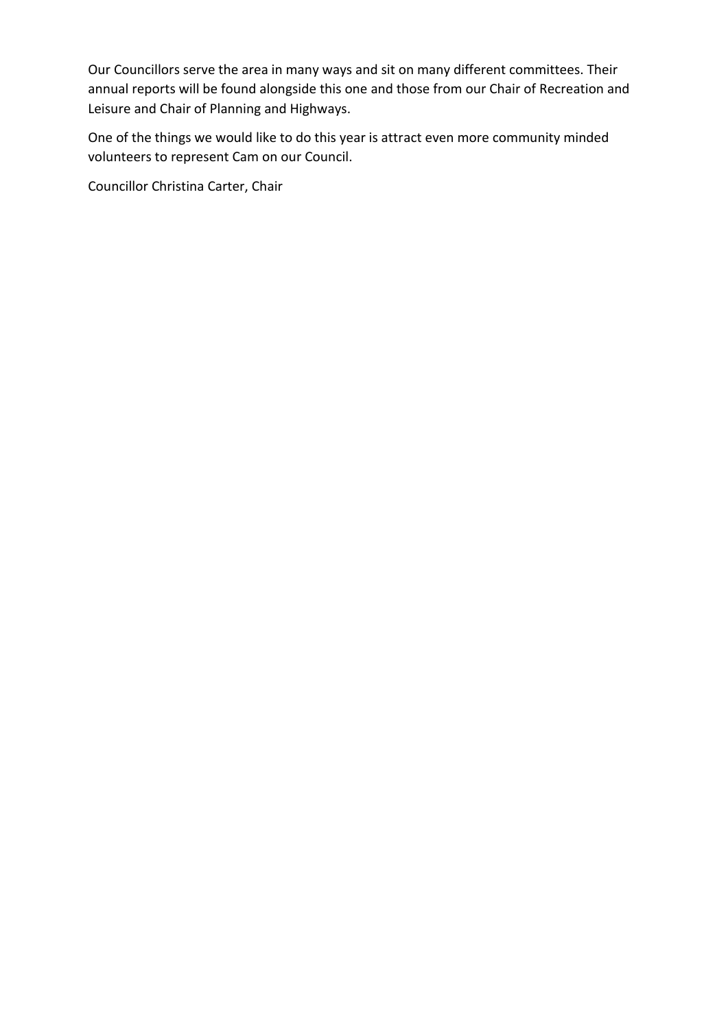Our Councillors serve the area in many ways and sit on many different committees. Their annual reports will be found alongside this one and those from our Chair of Recreation and Leisure and Chair of Planning and Highways.

One of the things we would like to do this year is attract even more community minded volunteers to represent Cam on our Council.

Councillor Christina Carter, Chair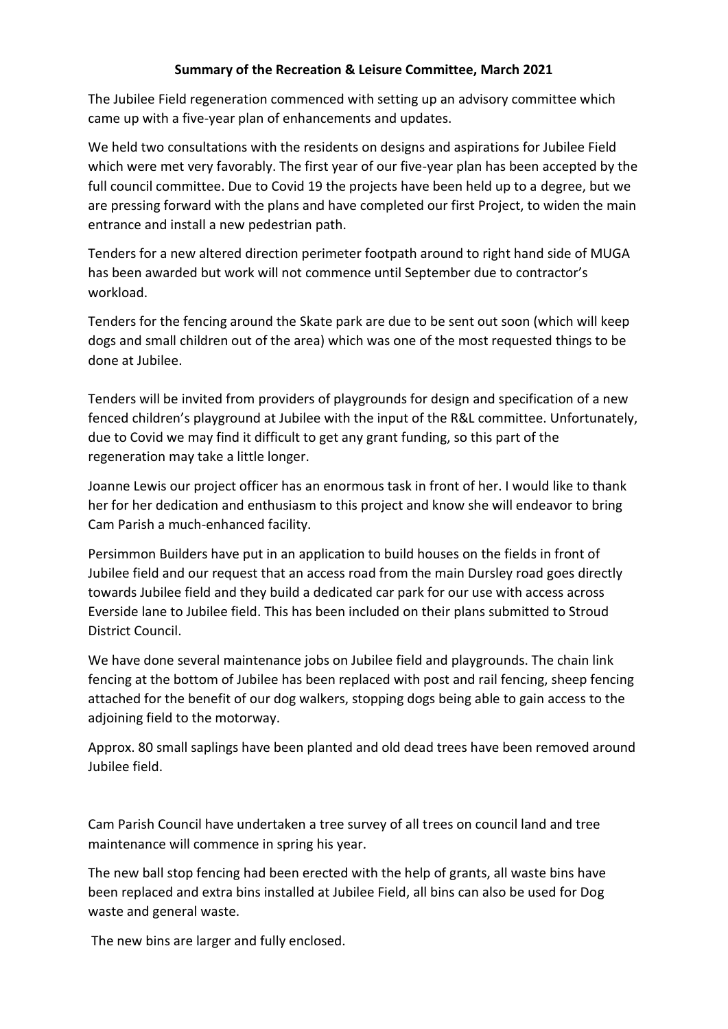## **Summary of the Recreation & Leisure Committee, March 2021**

The Jubilee Field regeneration commenced with setting up an advisory committee which came up with a five-year plan of enhancements and updates.

We held two consultations with the residents on designs and aspirations for Jubilee Field which were met very favorably. The first year of our five-year plan has been accepted by the full council committee. Due to Covid 19 the projects have been held up to a degree, but we are pressing forward with the plans and have completed our first Project, to widen the main entrance and install a new pedestrian path.

Tenders for a new altered direction perimeter footpath around to right hand side of MUGA has been awarded but work will not commence until September due to contractor's workload.

Tenders for the fencing around the Skate park are due to be sent out soon (which will keep dogs and small children out of the area) which was one of the most requested things to be done at Jubilee.

Tenders will be invited from providers of playgrounds for design and specification of a new fenced children's playground at Jubilee with the input of the R&L committee. Unfortunately, due to Covid we may find it difficult to get any grant funding, so this part of the regeneration may take a little longer.

Joanne Lewis our project officer has an enormous task in front of her. I would like to thank her for her dedication and enthusiasm to this project and know she will endeavor to bring Cam Parish a much-enhanced facility.

Persimmon Builders have put in an application to build houses on the fields in front of Jubilee field and our request that an access road from the main Dursley road goes directly towards Jubilee field and they build a dedicated car park for our use with access across Everside lane to Jubilee field. This has been included on their plans submitted to Stroud District Council.

We have done several maintenance jobs on Jubilee field and playgrounds. The chain link fencing at the bottom of Jubilee has been replaced with post and rail fencing, sheep fencing attached for the benefit of our dog walkers, stopping dogs being able to gain access to the adjoining field to the motorway.

Approx. 80 small saplings have been planted and old dead trees have been removed around Jubilee field.

Cam Parish Council have undertaken a tree survey of all trees on council land and tree maintenance will commence in spring his year.

The new ball stop fencing had been erected with the help of grants, all waste bins have been replaced and extra bins installed at Jubilee Field, all bins can also be used for Dog waste and general waste.

The new bins are larger and fully enclosed.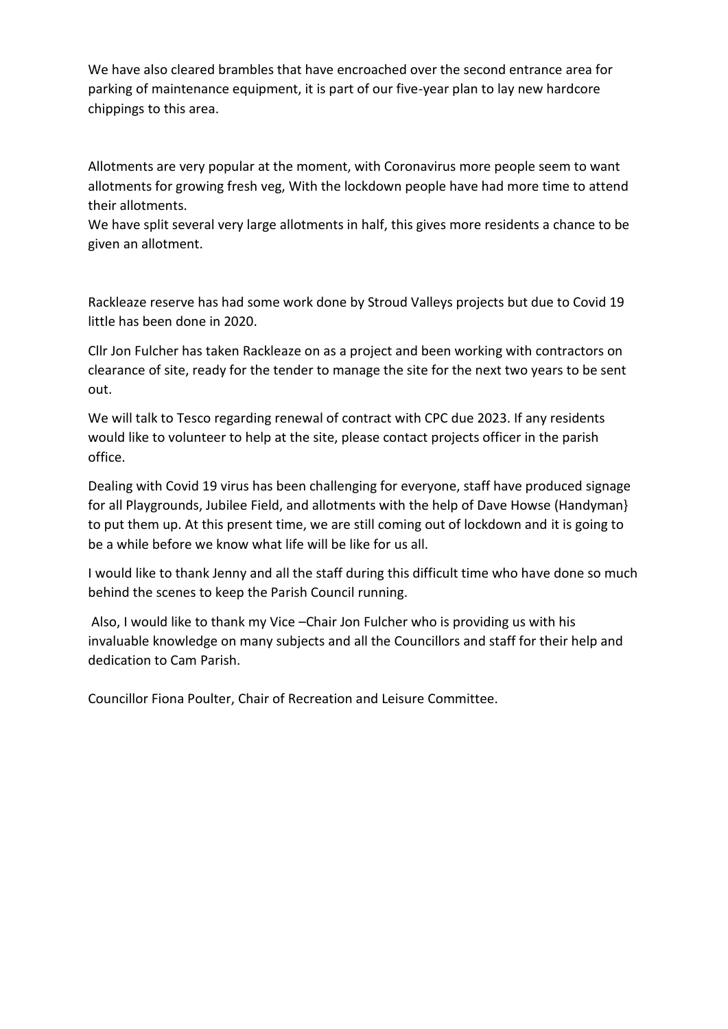We have also cleared brambles that have encroached over the second entrance area for parking of maintenance equipment, it is part of our five-year plan to lay new hardcore chippings to this area.

Allotments are very popular at the moment, with Coronavirus more people seem to want allotments for growing fresh veg, With the lockdown people have had more time to attend their allotments.

We have split several very large allotments in half, this gives more residents a chance to be given an allotment.

Rackleaze reserve has had some work done by Stroud Valleys projects but due to Covid 19 little has been done in 2020.

Cllr Jon Fulcher has taken Rackleaze on as a project and been working with contractors on clearance of site, ready for the tender to manage the site for the next two years to be sent out.

We will talk to Tesco regarding renewal of contract with CPC due 2023. If any residents would like to volunteer to help at the site, please contact projects officer in the parish office.

Dealing with Covid 19 virus has been challenging for everyone, staff have produced signage for all Playgrounds, Jubilee Field, and allotments with the help of Dave Howse (Handyman} to put them up. At this present time, we are still coming out of lockdown and it is going to be a while before we know what life will be like for us all.

I would like to thank Jenny and all the staff during this difficult time who have done so much behind the scenes to keep the Parish Council running.

Also, I would like to thank my Vice –Chair Jon Fulcher who is providing us with his invaluable knowledge on many subjects and all the Councillors and staff for their help and dedication to Cam Parish.

Councillor Fiona Poulter, Chair of Recreation and Leisure Committee.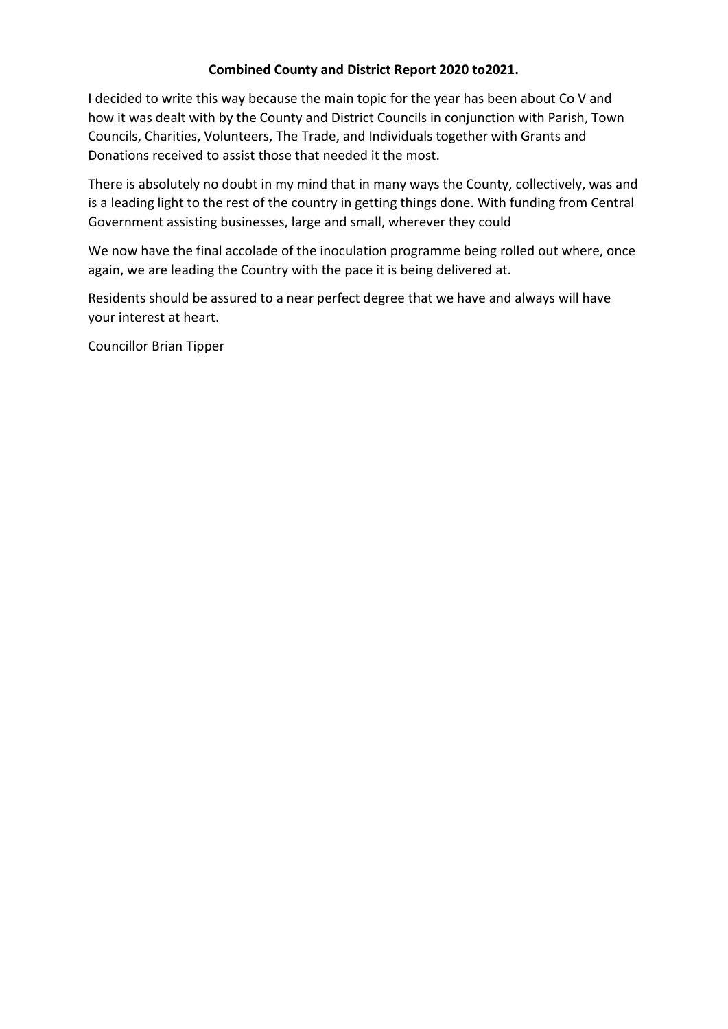#### **Combined County and District Report 2020 to2021.**

I decided to write this way because the main topic for the year has been about Co V and how it was dealt with by the County and District Councils in conjunction with Parish, Town Councils, Charities, Volunteers, The Trade, and Individuals together with Grants and Donations received to assist those that needed it the most.

There is absolutely no doubt in my mind that in many ways the County, collectively, was and is a leading light to the rest of the country in getting things done. With funding from Central Government assisting businesses, large and small, wherever they could

We now have the final accolade of the inoculation programme being rolled out where, once again, we are leading the Country with the pace it is being delivered at.

Residents should be assured to a near perfect degree that we have and always will have your interest at heart.

Councillor Brian Tipper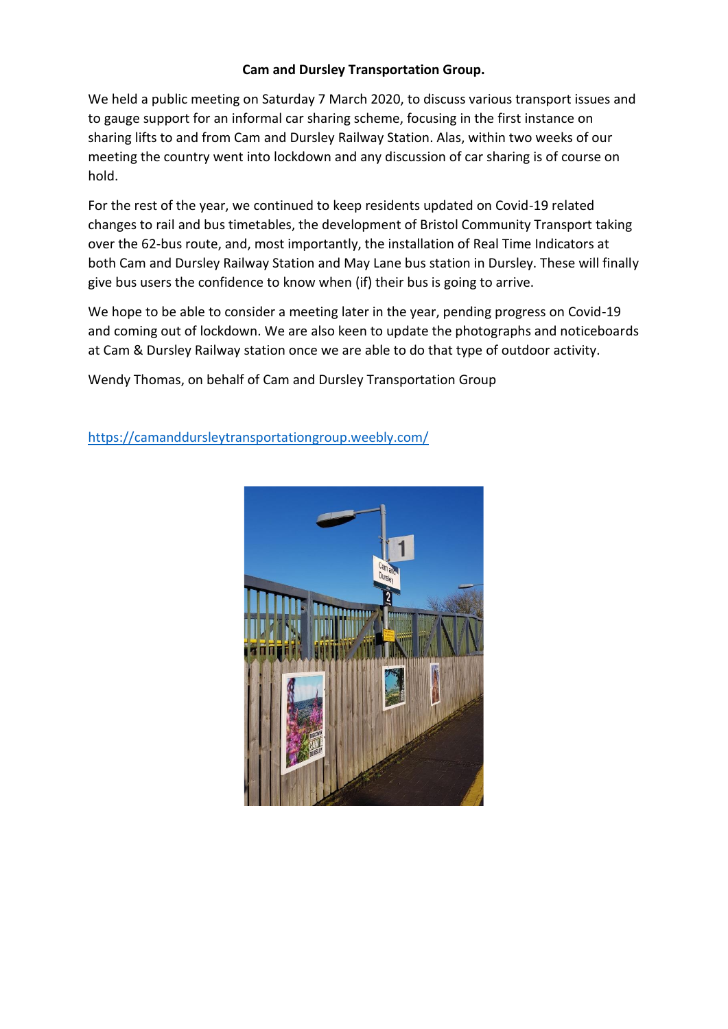#### **Cam and Dursley Transportation Group.**

We held a public meeting on Saturday 7 March 2020, to discuss various transport issues and to gauge support for an informal car sharing scheme, focusing in the first instance on sharing lifts to and from Cam and Dursley Railway Station. Alas, within two weeks of our meeting the country went into lockdown and any discussion of car sharing is of course on hold.

For the rest of the year, we continued to keep residents updated on Covid-19 related changes to rail and bus timetables, the development of Bristol Community Transport taking over the 62-bus route, and, most importantly, the installation of Real Time Indicators at both Cam and Dursley Railway Station and May Lane bus station in Dursley. These will finally give bus users the confidence to know when (if) their bus is going to arrive.

We hope to be able to consider a meeting later in the year, pending progress on Covid-19 and coming out of lockdown. We are also keen to update the photographs and noticeboards at Cam & Dursley Railway station once we are able to do that type of outdoor activity.

Wendy Thomas, on behalf of Cam and Dursley Transportation Group

<https://camanddursleytransportationgroup.weebly.com/>

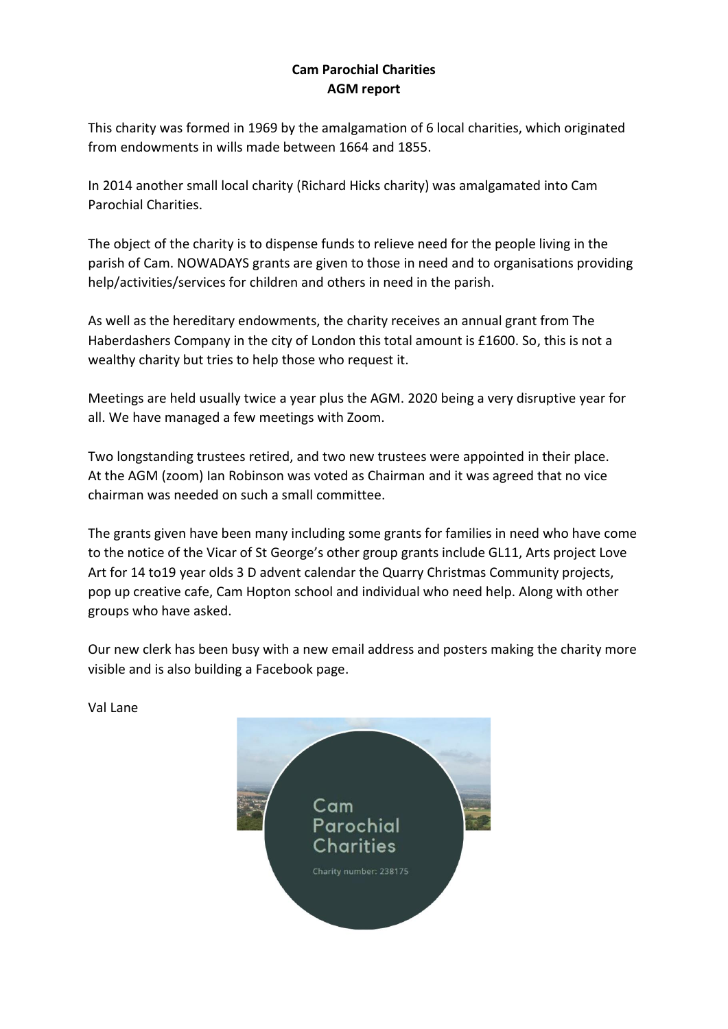## **Cam Parochial Charities AGM report**

This charity was formed in 1969 by the amalgamation of 6 local charities, which originated from endowments in wills made between 1664 and 1855.

In 2014 another small local charity (Richard Hicks charity) was amalgamated into Cam Parochial Charities.

The object of the charity is to dispense funds to relieve need for the people living in the parish of Cam. NOWADAYS grants are given to those in need and to organisations providing help/activities/services for children and others in need in the parish.

As well as the hereditary endowments, the charity receives an annual grant from The Haberdashers Company in the city of London this total amount is £1600. So, this is not a wealthy charity but tries to help those who request it.

Meetings are held usually twice a year plus the AGM. 2020 being a very disruptive year for all. We have managed a few meetings with Zoom.

Two longstanding trustees retired, and two new trustees were appointed in their place. At the AGM (zoom) Ian Robinson was voted as Chairman and it was agreed that no vice chairman was needed on such a small committee.

The grants given have been many including some grants for families in need who have come to the notice of the Vicar of St George's other group grants include GL11, Arts project Love Art for 14 to19 year olds 3 D advent calendar the Quarry Christmas Community projects, pop up creative cafe, Cam Hopton school and individual who need help. Along with other groups who have asked.

Our new clerk has been busy with a new email address and posters making the charity more visible and is also building a Facebook page.

Val Lane

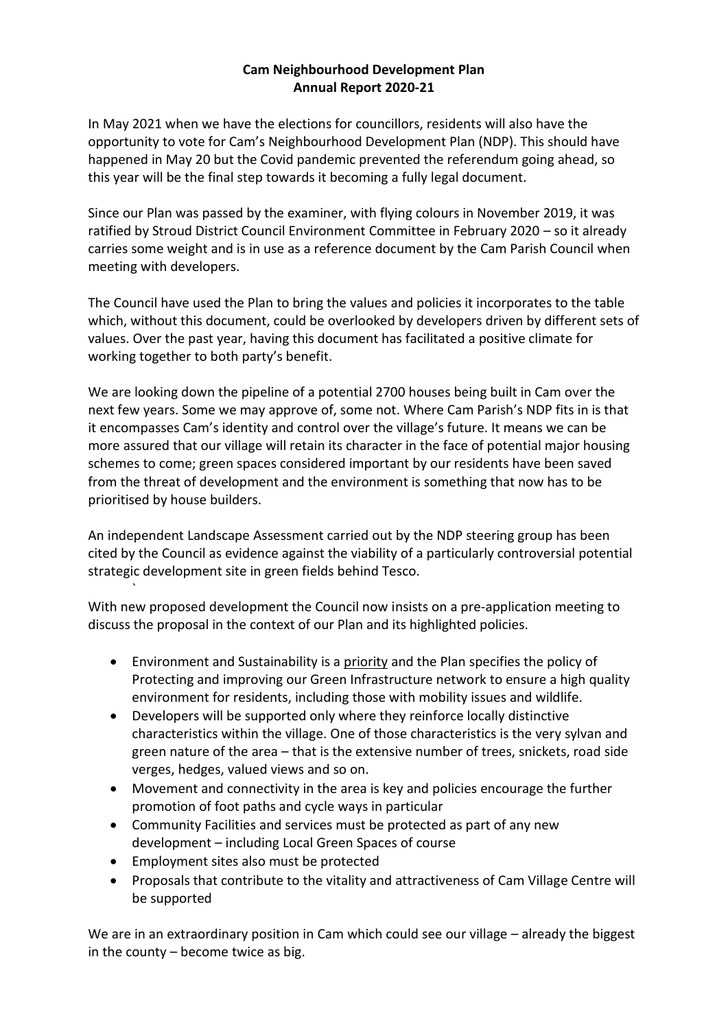## **Cam Neighbourhood Development Plan Annual Report 2020-21**

In May 2021 when we have the elections for councillors, residents will also have the opportunity to vote for Cam's Neighbourhood Development Plan (NDP). This should have happened in May 20 but the Covid pandemic prevented the referendum going ahead, so this year will be the final step towards it becoming a fully legal document.

Since our Plan was passed by the examiner, with flying colours in November 2019, it was ratified by Stroud District Council Environment Committee in February 2020 – so it already carries some weight and is in use as a reference document by the Cam Parish Council when meeting with developers.

The Council have used the Plan to bring the values and policies it incorporates to the table which, without this document, could be overlooked by developers driven by different sets of values. Over the past year, having this document has facilitated a positive climate for working together to both party's benefit.

We are looking down the pipeline of a potential 2700 houses being built in Cam over the next few years. Some we may approve of, some not. Where Cam Parish's NDP fits in is that it encompasses Cam's identity and control over the village's future. It means we can be more assured that our village will retain its character in the face of potential major housing schemes to come; green spaces considered important by our residents have been saved from the threat of development and the environment is something that now has to be prioritised by house builders.

An independent Landscape Assessment carried out by the NDP steering group has been cited by the Council as evidence against the viability of a particularly controversial potential strategic development site in green fields behind Tesco.

With new proposed development the Council now insists on a pre-application meeting to discuss the proposal in the context of our Plan and its highlighted policies.

- Environment and Sustainability is a priority and the Plan specifies the policy of Protecting and improving our Green Infrastructure network to ensure a high quality environment for residents, including those with mobility issues and wildlife.
- Developers will be supported only where they reinforce locally distinctive characteristics within the village. One of those characteristics is the very sylvan and green nature of the area – that is the extensive number of trees, snickets, road side verges, hedges, valued views and so on.
- Movement and connectivity in the area is key and policies encourage the further promotion of foot paths and cycle ways in particular
- Community Facilities and services must be protected as part of any new development – including Local Green Spaces of course
- Employment sites also must be protected

`

• Proposals that contribute to the vitality and attractiveness of Cam Village Centre will be supported

We are in an extraordinary position in Cam which could see our village – already the biggest in the county  $-$  become twice as big.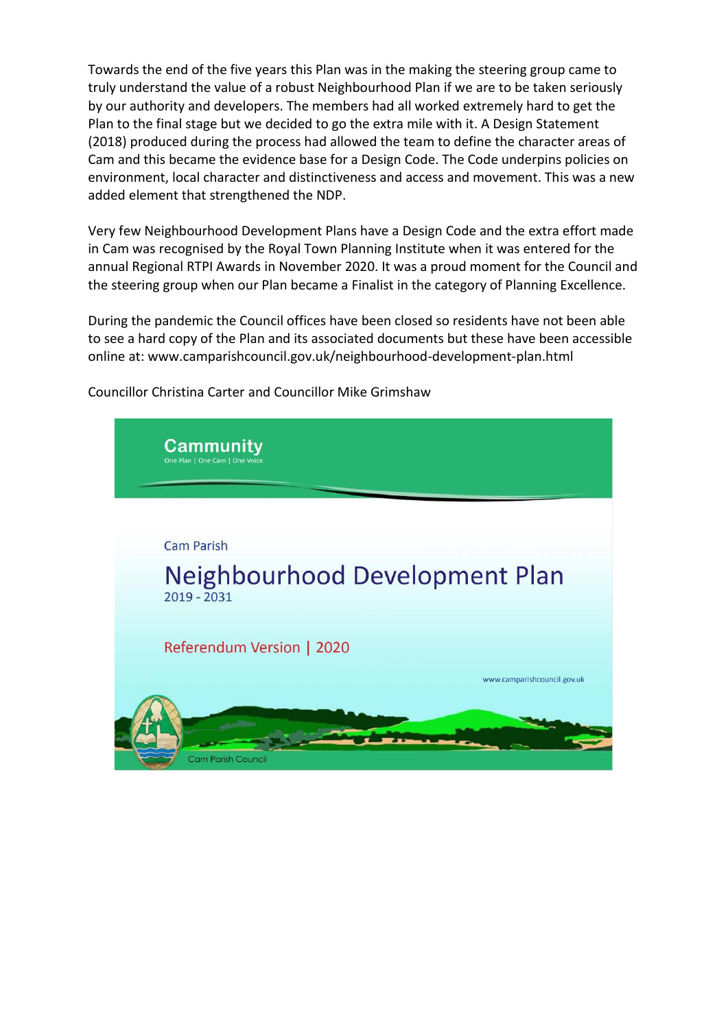Towards the end of the five years this Plan was in the making the steering group came to truly understand the value of a robust Neighbourhood Plan if we are to be taken seriously by our authority and developers. The members had all worked extremely hard to get the Plan to the final stage but we decided to go the extra mile with it. A Design Statement (2018) produced during the process had allowed the team to define the character areas of Cam and this became the evidence base for a Design Code. The Code underpins policies on environment, local character and distinctiveness and access and movement. This was a new added element that strengthened the NDP.

Very few Neighbourhood Development Plans have a Design Code and the extra effort made in Cam was recognised by the Royal Town Planning Institute when it was entered for the annual Regional RTPI Awards in November 2020. It was a proud moment for the Council and the steering group when our Plan became a Finalist in the category of Planning Excellence.

During the pandemic the Council offices have been closed so residents have not been able to see a hard copy of the Plan and its associated documents but these have been accessible online at: www.camparishcouncil.gov.uk/neighbourhood-development-plan.html



Councillor Christina Carter and Councillor Mike Grimshaw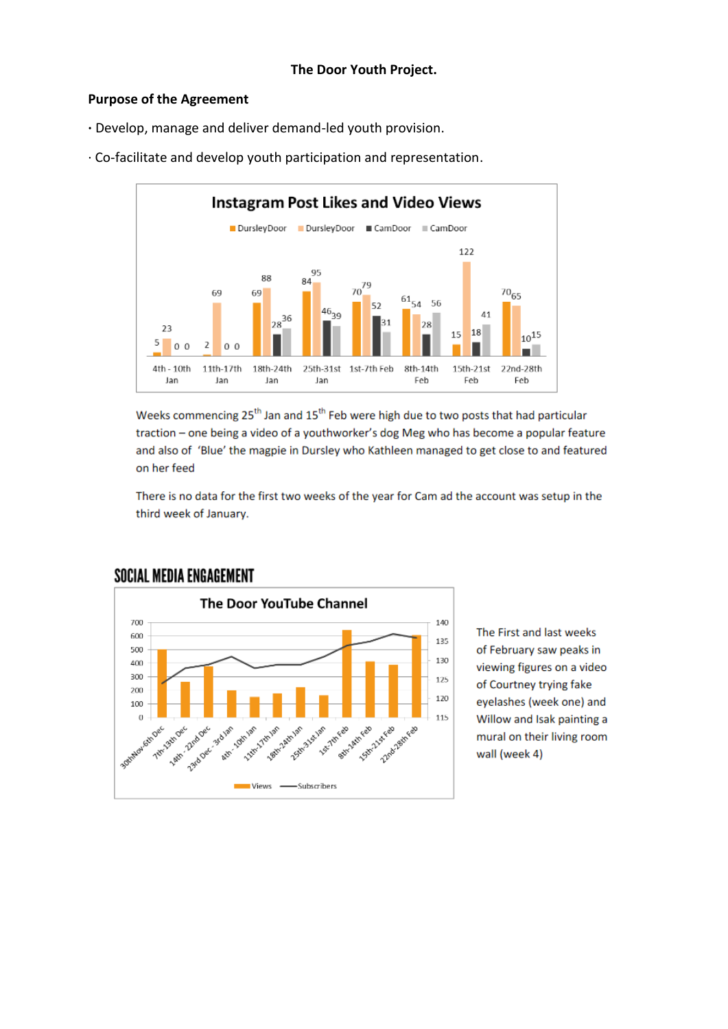#### **Purpose of the Agreement**

**·** Develop, manage and deliver demand-led youth provision.



· Co-facilitate and develop youth participation and representation.

Weeks commencing 25<sup>th</sup> Jan and 15<sup>th</sup> Feb were high due to two posts that had particular traction - one being a video of a youthworker's dog Meg who has become a popular feature and also of 'Blue' the magpie in Dursley who Kathleen managed to get close to and featured on her feed

There is no data for the first two weeks of the year for Cam ad the account was setup in the third week of January.



**SOCIAL MEDIA ENGAGEMENT** 

The First and last weeks of February saw peaks in viewing figures on a video of Courtney trying fake eyelashes (week one) and Willow and Isak painting a mural on their living room wall (week 4)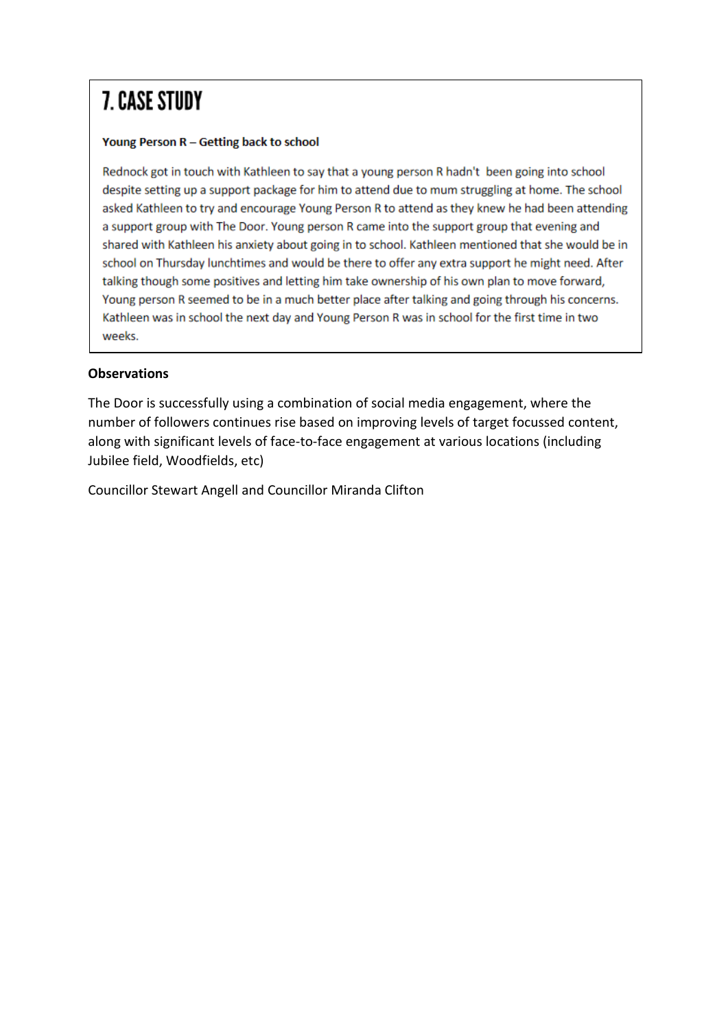# **7. CASE STUDY**

#### Young Person R - Getting back to school

Rednock got in touch with Kathleen to say that a young person R hadn't been going into school despite setting up a support package for him to attend due to mum struggling at home. The school asked Kathleen to try and encourage Young Person R to attend as they knew he had been attending a support group with The Door. Young person R came into the support group that evening and shared with Kathleen his anxiety about going in to school. Kathleen mentioned that she would be in school on Thursday lunchtimes and would be there to offer any extra support he might need. After talking though some positives and letting him take ownership of his own plan to move forward, Young person R seemed to be in a much better place after talking and going through his concerns. Kathleen was in school the next day and Young Person R was in school for the first time in two weeks.

## **Observations**

The Door is successfully using a combination of social media engagement, where the number of followers continues rise based on improving levels of target focussed content, along with significant levels of face-to-face engagement at various locations (including Jubilee field, Woodfields, etc)

Councillor Stewart Angell and Councillor Miranda Clifton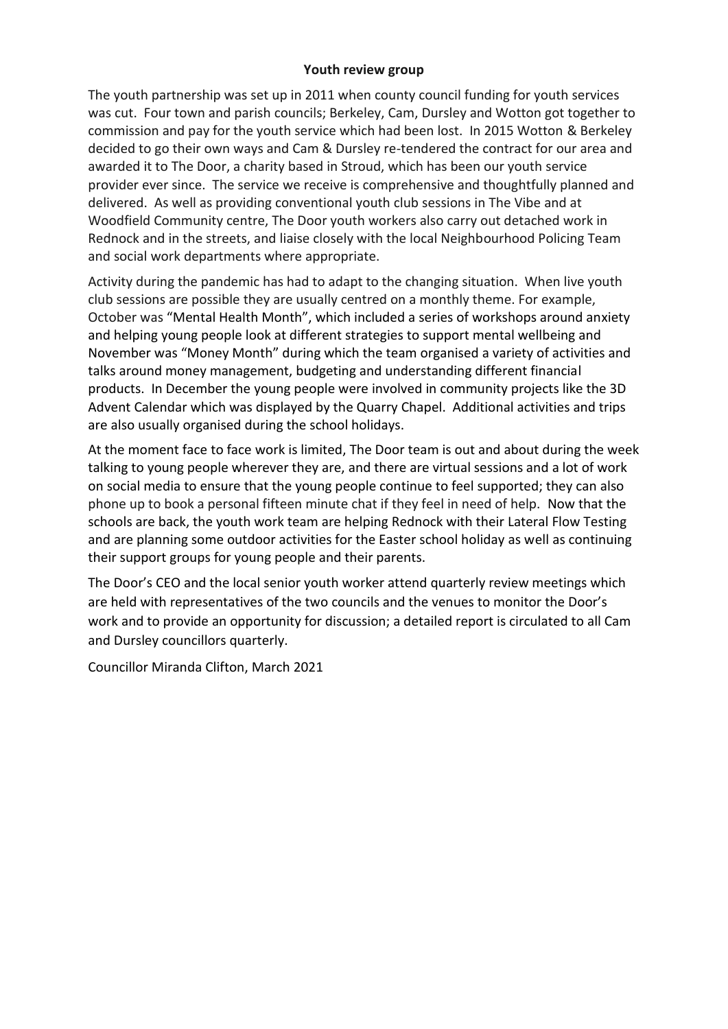#### **Youth review group**

The youth partnership was set up in 2011 when county council funding for youth services was cut. Four town and parish councils; Berkeley, Cam, Dursley and Wotton got together to commission and pay for the youth service which had been lost. In 2015 Wotton & Berkeley decided to go their own ways and Cam & Dursley re-tendered the contract for our area and awarded it to The Door, a charity based in Stroud, which has been our youth service provider ever since. The service we receive is comprehensive and thoughtfully planned and delivered. As well as providing conventional youth club sessions in The Vibe and at Woodfield Community centre, The Door youth workers also carry out detached work in Rednock and in the streets, and liaise closely with the local Neighbourhood Policing Team and social work departments where appropriate.

Activity during the pandemic has had to adapt to the changing situation. When live youth club sessions are possible they are usually centred on a monthly theme. For example, October was "Mental Health Month", which included a series of workshops around anxiety and helping young people look at different strategies to support mental wellbeing and November was "Money Month" during which the team organised a variety of activities and talks around money management, budgeting and understanding different financial products. In December the young people were involved in community projects like the 3D Advent Calendar which was displayed by the Quarry Chapel. Additional activities and trips are also usually organised during the school holidays.

At the moment face to face work is limited, The Door team is out and about during the week talking to young people wherever they are, and there are virtual sessions and a lot of work on social media to ensure that the young people continue to feel supported; they can also phone up to book a personal fifteen minute chat if they feel in need of help. Now that the schools are back, the youth work team are helping Rednock with their Lateral Flow Testing and are planning some outdoor activities for the Easter school holiday as well as continuing their support groups for young people and their parents.

The Door's CEO and the local senior youth worker attend quarterly review meetings which are held with representatives of the two councils and the venues to monitor the Door's work and to provide an opportunity for discussion; a detailed report is circulated to all Cam and Dursley councillors quarterly.

Councillor Miranda Clifton, March 2021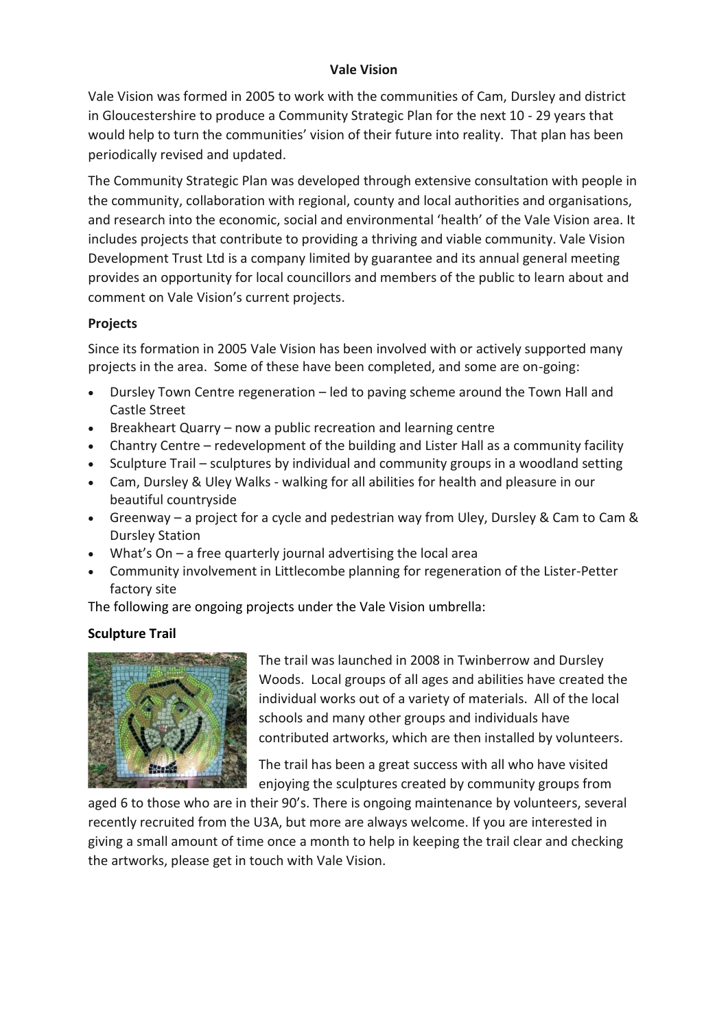## **Vale Vision**

Vale Vision was formed in 2005 to work with the communities of Cam, Dursley and district in Gloucestershire to produce a Community Strategic Plan for the next 10 - 29 years that would help to turn the communities' vision of their future into reality. That plan has been periodically revised and updated.

The Community Strategic Plan was developed through extensive consultation with people in the community, collaboration with regional, county and local authorities and organisations, and research into the economic, social and environmental 'health' of the Vale Vision area. It includes projects that contribute to providing a thriving and viable community. Vale Vision Development Trust Ltd is a company limited by guarantee and its annual general meeting provides an opportunity for local councillors and members of the public to learn about and comment on Vale Vision's current projects.

## **Projects**

Since its formation in 2005 Vale Vision has been involved with or actively supported many projects in the area. Some of these have been completed, and some are on-going:

- Dursley Town Centre regeneration led to paving scheme around the Town Hall and Castle Street
- Breakheart Quarry now a public recreation and learning centre
- Chantry Centre redevelopment of the building and Lister Hall as a community facility
- Sculpture Trail sculptures by individual and community groups in a woodland setting
- Cam, Dursley & Uley Walks walking for all abilities for health and pleasure in our beautiful countryside
- Greenway a project for a cycle and pedestrian way from Uley, Dursley & Cam to Cam & Dursley Station
- What's On a free quarterly journal advertising the local area
- Community involvement in Littlecombe planning for regeneration of the Lister-Petter factory site

The following are ongoing projects under the Vale Vision umbrella:

## **Sculpture Trail**



The trail was launched in 2008 in Twinberrow and Dursley Woods. Local groups of all ages and abilities have created the individual works out of a variety of materials. All of the local schools and many other groups and individuals have contributed artworks, which are then installed by volunteers.

The trail has been a great success with all who have visited enjoying the sculptures created by community groups from

aged 6 to those who are in their 90's. There is ongoing maintenance by volunteers, several recently recruited from the U3A, but more are always welcome. If you are interested in giving a small amount of time once a month to help in keeping the trail clear and checking the artworks, please get in touch with Vale Vision.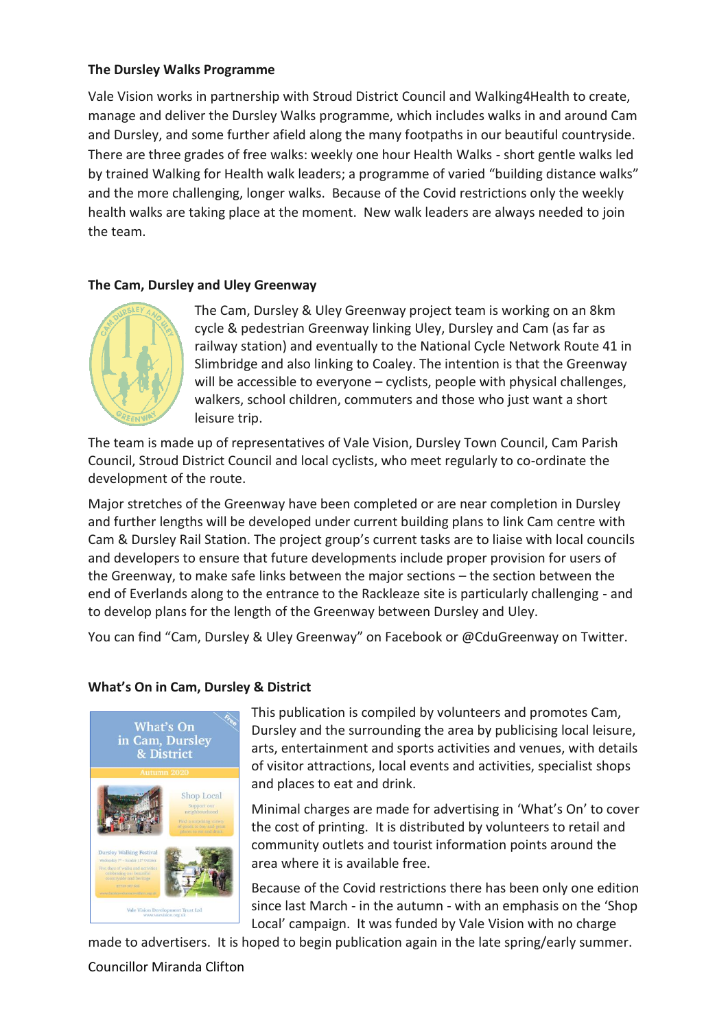#### **The Dursley Walks Programme**

Vale Vision works in partnership with Stroud District Council and Walking4Health to create, manage and deliver the Dursley Walks programme, which includes walks in and around Cam and Dursley, and some further afield along the many footpaths in our beautiful countryside. There are three grades of free walks: weekly one hour Health Walks - short gentle walks led by trained Walking for Health walk leaders; a programme of varied "building distance walks" and the more challenging, longer walks. Because of the Covid restrictions only the weekly health walks are taking place at the moment.New walk leaders are always needed to join the team.

#### **The Cam, Dursley and Uley Greenway**



The Cam, Dursley & Uley Greenway project team is working on an 8km cycle & pedestrian Greenway linking Uley, Dursley and Cam (as far as railway station) and eventually to the National Cycle Network Route 41 in Slimbridge and also linking to Coaley. The intention is that the Greenway will be accessible to everyone – cyclists, people with physical challenges, walkers, school children, commuters and those who just want a short leisure trip.

The team is made up of representatives of Vale Vision, Dursley Town Council, Cam Parish Council, Stroud District Council and local cyclists, who meet regularly to co-ordinate the development of the route.

Major stretches of the Greenway have been completed or are near completion in Dursley and further lengths will be developed under current building plans to link Cam centre with Cam & Dursley Rail Station. The project group's current tasks are to liaise with local councils and developers to ensure that future developments include proper provision for users of the Greenway, to make safe links between the major sections – the section between the end of Everlands along to the entrance to the Rackleaze site is particularly challenging - and to develop plans for the length of the Greenway between Dursley and Uley.

You can find "Cam, Dursley & Uley Greenway" on Facebook or @CduGreenway on Twitter.

## **What's On in Cam, Dursley & District**



This publication is compiled by volunteers and promotes Cam, Dursley and the surrounding the area by publicising local leisure, arts, entertainment and sports activities and venues, with details of visitor attractions, local events and activities, specialist shops and places to eat and drink.

Minimal charges are made for advertising in 'What's On' to cover the cost of printing. It is distributed by volunteers to retail and community outlets and tourist information points around the area where it is available free.

Because of the Covid restrictions there has been only one edition since last March - in the autumn - with an emphasis on the 'Shop Local' campaign. It was funded by Vale Vision with no charge

made to advertisers. It is hoped to begin publication again in the late spring/early summer.

## Councillor Miranda Clifton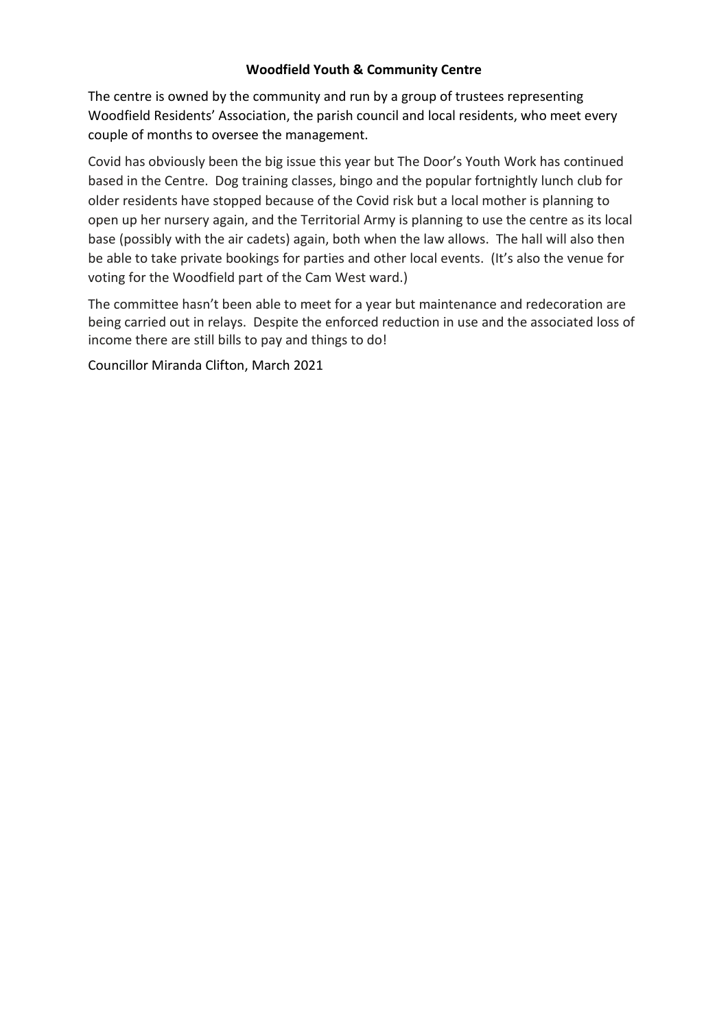## **Woodfield Youth & Community Centre**

The centre is owned by the community and run by a group of trustees representing Woodfield Residents' Association, the parish council and local residents, who meet every couple of months to oversee the management.

Covid has obviously been the big issue this year but The Door's Youth Work has continued based in the Centre. Dog training classes, bingo and the popular fortnightly lunch club for older residents have stopped because of the Covid risk but a local mother is planning to open up her nursery again, and the Territorial Army is planning to use the centre as its local base (possibly with the air cadets) again, both when the law allows. The hall will also then be able to take private bookings for parties and other local events. (It's also the venue for voting for the Woodfield part of the Cam West ward.)

The committee hasn't been able to meet for a year but maintenance and redecoration are being carried out in relays. Despite the enforced reduction in use and the associated loss of income there are still bills to pay and things to do!

Councillor Miranda Clifton, March 2021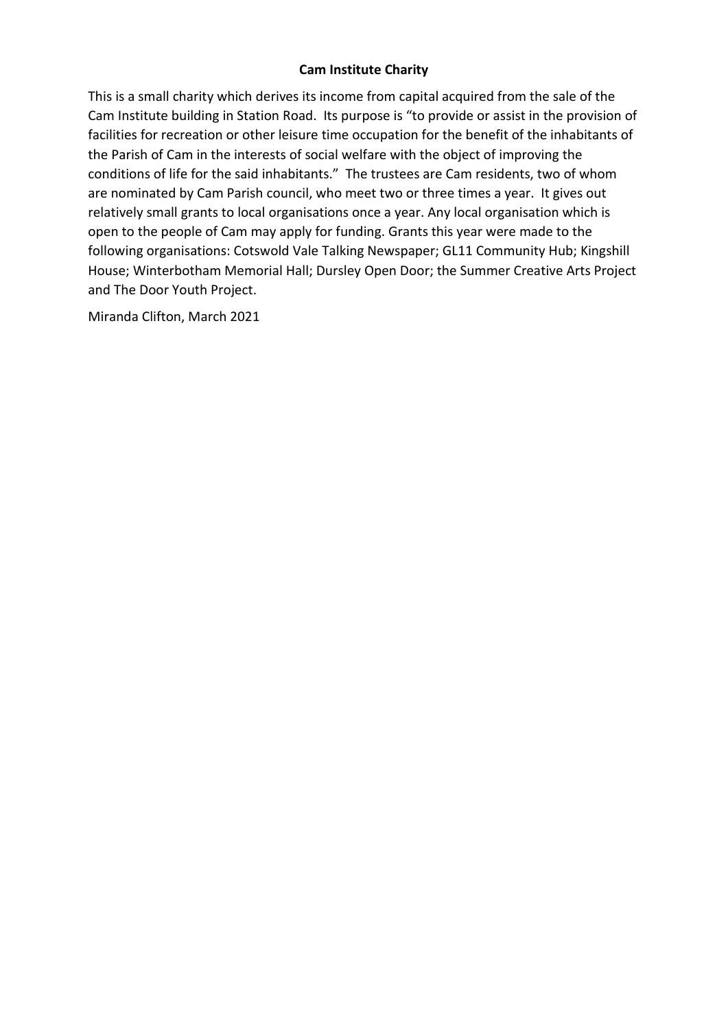## **Cam Institute Charity**

This is a small charity which derives its income from capital acquired from the sale of the Cam Institute building in Station Road. Its purpose is "to provide or assist in the provision of facilities for recreation or other leisure time occupation for the benefit of the inhabitants of the Parish of Cam in the interests of social welfare with the object of improving the conditions of life for the said inhabitants." The trustees are Cam residents, two of whom are nominated by Cam Parish council, who meet two or three times a year. It gives out relatively small grants to local organisations once a year. Any local organisation which is open to the people of Cam may apply for funding. Grants this year were made to the following organisations: Cotswold Vale Talking Newspaper; GL11 Community Hub; Kingshill House; Winterbotham Memorial Hall; Dursley Open Door; the Summer Creative Arts Project and The Door Youth Project.

Miranda Clifton, March 2021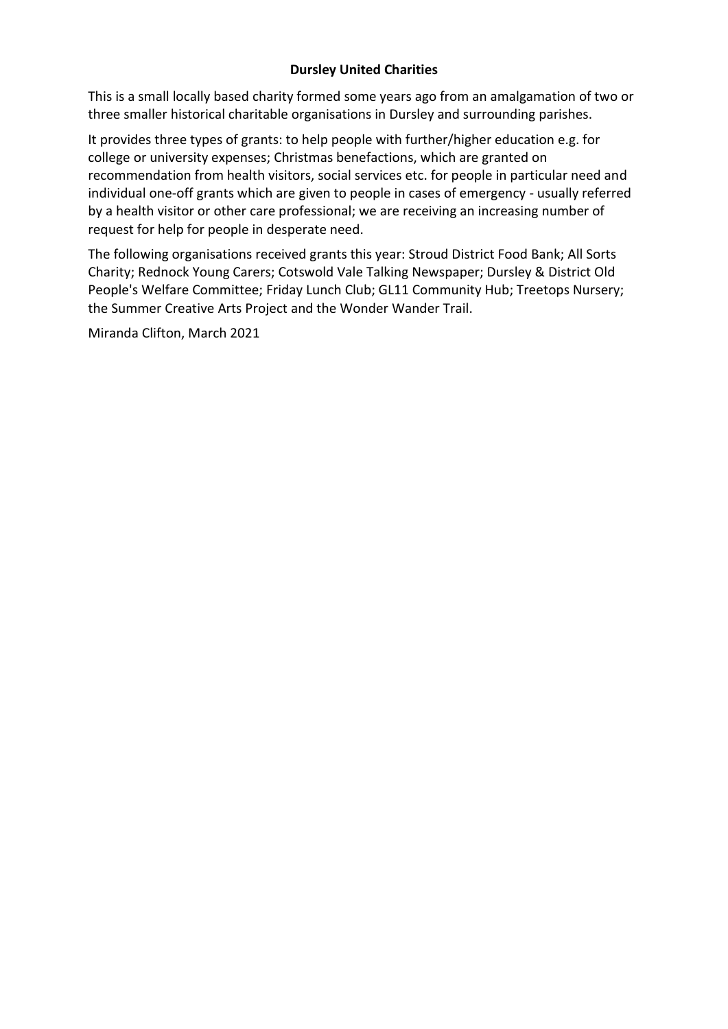### **Dursley United Charities**

This is a small locally based charity formed some years ago from an amalgamation of two or three smaller historical charitable organisations in Dursley and surrounding parishes.

It provides three types of grants: to help people with further/higher education e.g. for college or university expenses; Christmas benefactions, which are granted on recommendation from health visitors, social services etc. for people in particular need and individual one-off grants which are given to people in cases of emergency - usually referred by a health visitor or other care professional; we are receiving an increasing number of request for help for people in desperate need.

The following organisations received grants this year: Stroud District Food Bank; All Sorts Charity; Rednock Young Carers; Cotswold Vale Talking Newspaper; Dursley & District Old People's Welfare Committee; Friday Lunch Club; GL11 Community Hub; Treetops Nursery; the Summer Creative Arts Project and the Wonder Wander Trail.

Miranda Clifton, March 2021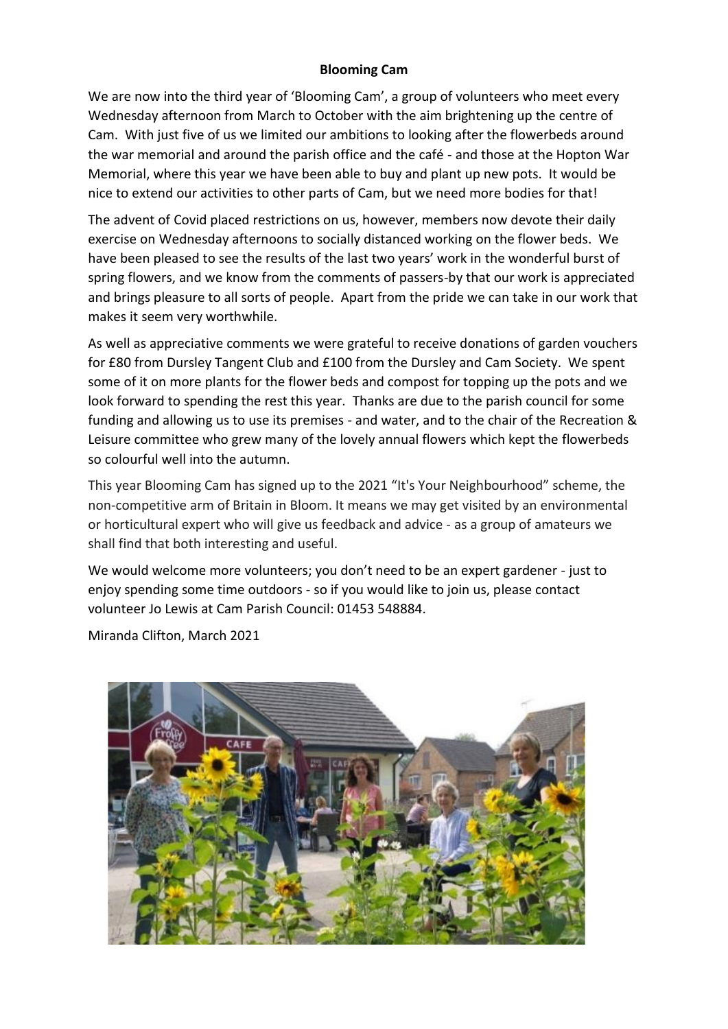#### **Blooming Cam**

We are now into the third year of 'Blooming Cam', a group of volunteers who meet every Wednesday afternoon from March to October with the aim brightening up the centre of Cam. With just five of us we limited our ambitions to looking after the flowerbeds around the war memorial and around the parish office and the café - and those at the Hopton War Memorial, where this year we have been able to buy and plant up new pots. It would be nice to extend our activities to other parts of Cam, but we need more bodies for that!

The advent of Covid placed restrictions on us, however, members now devote their daily exercise on Wednesday afternoons to socially distanced working on the flower beds. We have been pleased to see the results of the last two years' work in the wonderful burst of spring flowers, and we know from the comments of passers-by that our work is appreciated and brings pleasure to all sorts of people. Apart from the pride we can take in our work that makes it seem very worthwhile.

As well as appreciative comments we were grateful to receive donations of garden vouchers for £80 from Dursley Tangent Club and £100 from the Dursley and Cam Society. We spent some of it on more plants for the flower beds and compost for topping up the pots and we look forward to spending the rest this year. Thanks are due to the parish council for some funding and allowing us to use its premises - and water, and to the chair of the Recreation & Leisure committee who grew many of the lovely annual flowers which kept the flowerbeds so colourful well into the autumn.

This year Blooming Cam has signed up to the 2021 "It's Your Neighbourhood" scheme, the non-competitive arm of Britain in Bloom. It means we may get visited by an environmental or horticultural expert who will give us feedback and advice - as a group of amateurs we shall find that both interesting and useful.

We would welcome more volunteers; you don't need to be an expert gardener - just to enjoy spending some time outdoors - so if you would like to join us, please contact volunteer Jo Lewis at Cam Parish Council: 01453 548884.

Miranda Clifton, March 2021

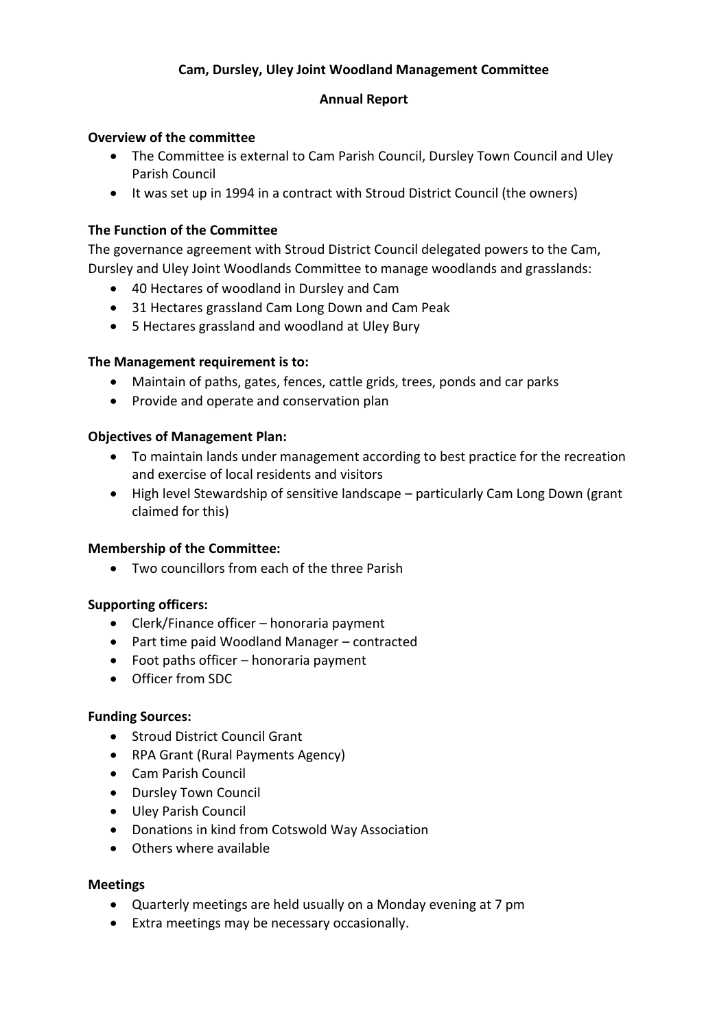## **Cam, Dursley, Uley Joint Woodland Management Committee**

#### **Annual Report**

#### **Overview of the committee**

- The Committee is external to Cam Parish Council, Dursley Town Council and Uley Parish Council
- It was set up in 1994 in a contract with Stroud District Council (the owners)

## **The Function of the Committee**

The governance agreement with Stroud District Council delegated powers to the Cam, Dursley and Uley Joint Woodlands Committee to manage woodlands and grasslands:

- 40 Hectares of woodland in Dursley and Cam
- 31 Hectares grassland Cam Long Down and Cam Peak
- 5 Hectares grassland and woodland at Uley Bury

#### **The Management requirement is to:**

- Maintain of paths, gates, fences, cattle grids, trees, ponds and car parks
- Provide and operate and conservation plan

#### **Objectives of Management Plan:**

- To maintain lands under management according to best practice for the recreation and exercise of local residents and visitors
- High level Stewardship of sensitive landscape particularly Cam Long Down (grant claimed for this)

#### **Membership of the Committee:**

• Two councillors from each of the three Parish

#### **Supporting officers:**

- Clerk/Finance officer honoraria payment
- Part time paid Woodland Manager contracted
- Foot paths officer honoraria payment
- Officer from SDC

#### **Funding Sources:**

- Stroud District Council Grant
- RPA Grant (Rural Payments Agency)
- Cam Parish Council
- Dursley Town Council
- Uley Parish Council
- Donations in kind from Cotswold Way Association
- Others where available

#### **Meetings**

- Quarterly meetings are held usually on a Monday evening at 7 pm
- Extra meetings may be necessary occasionally.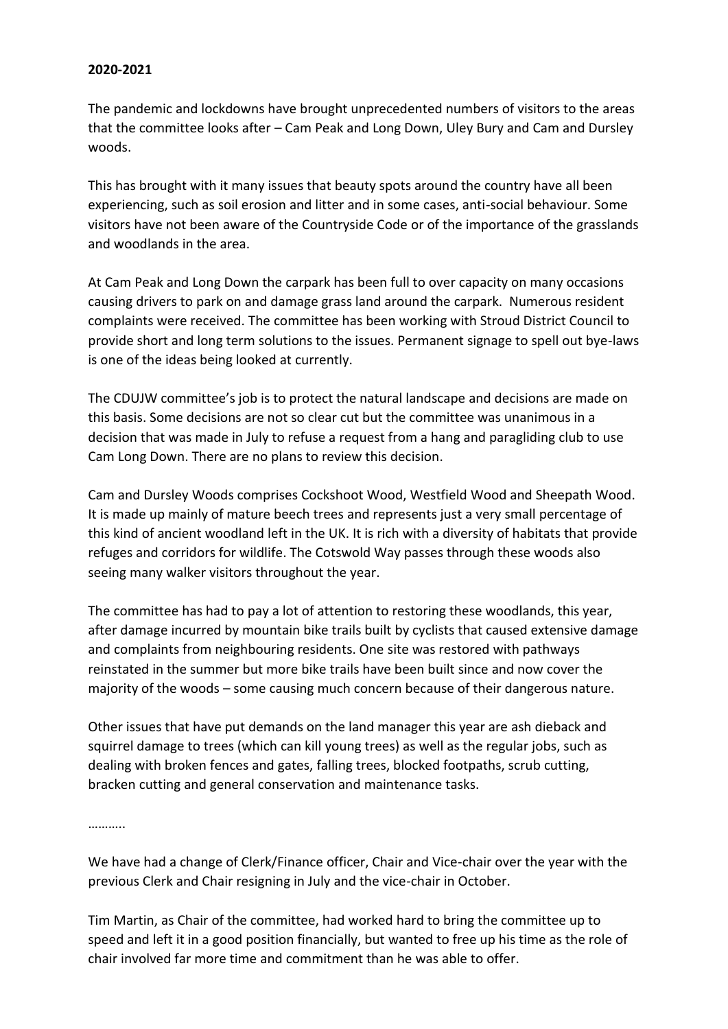#### **2020-2021**

The pandemic and lockdowns have brought unprecedented numbers of visitors to the areas that the committee looks after – Cam Peak and Long Down, Uley Bury and Cam and Dursley woods.

This has brought with it many issues that beauty spots around the country have all been experiencing, such as soil erosion and litter and in some cases, anti-social behaviour. Some visitors have not been aware of the Countryside Code or of the importance of the grasslands and woodlands in the area.

At Cam Peak and Long Down the carpark has been full to over capacity on many occasions causing drivers to park on and damage grass land around the carpark. Numerous resident complaints were received. The committee has been working with Stroud District Council to provide short and long term solutions to the issues. Permanent signage to spell out bye-laws is one of the ideas being looked at currently.

The CDUJW committee's job is to protect the natural landscape and decisions are made on this basis. Some decisions are not so clear cut but the committee was unanimous in a decision that was made in July to refuse a request from a hang and paragliding club to use Cam Long Down. There are no plans to review this decision.

Cam and Dursley Woods comprises Cockshoot Wood, Westfield Wood and Sheepath Wood. It is made up mainly of mature beech trees and represents just a very small percentage of this kind of ancient woodland left in the UK. It is rich with a diversity of habitats that provide refuges and corridors for wildlife. The Cotswold Way passes through these woods also seeing many walker visitors throughout the year.

The committee has had to pay a lot of attention to restoring these woodlands, this year, after damage incurred by mountain bike trails built by cyclists that caused extensive damage and complaints from neighbouring residents. One site was restored with pathways reinstated in the summer but more bike trails have been built since and now cover the majority of the woods – some causing much concern because of their dangerous nature.

Other issues that have put demands on the land manager this year are ash dieback and squirrel damage to trees (which can kill young trees) as well as the regular jobs, such as dealing with broken fences and gates, falling trees, blocked footpaths, scrub cutting, bracken cutting and general conservation and maintenance tasks.

…………

We have had a change of Clerk/Finance officer, Chair and Vice-chair over the year with the previous Clerk and Chair resigning in July and the vice-chair in October.

Tim Martin, as Chair of the committee, had worked hard to bring the committee up to speed and left it in a good position financially, but wanted to free up his time as the role of chair involved far more time and commitment than he was able to offer.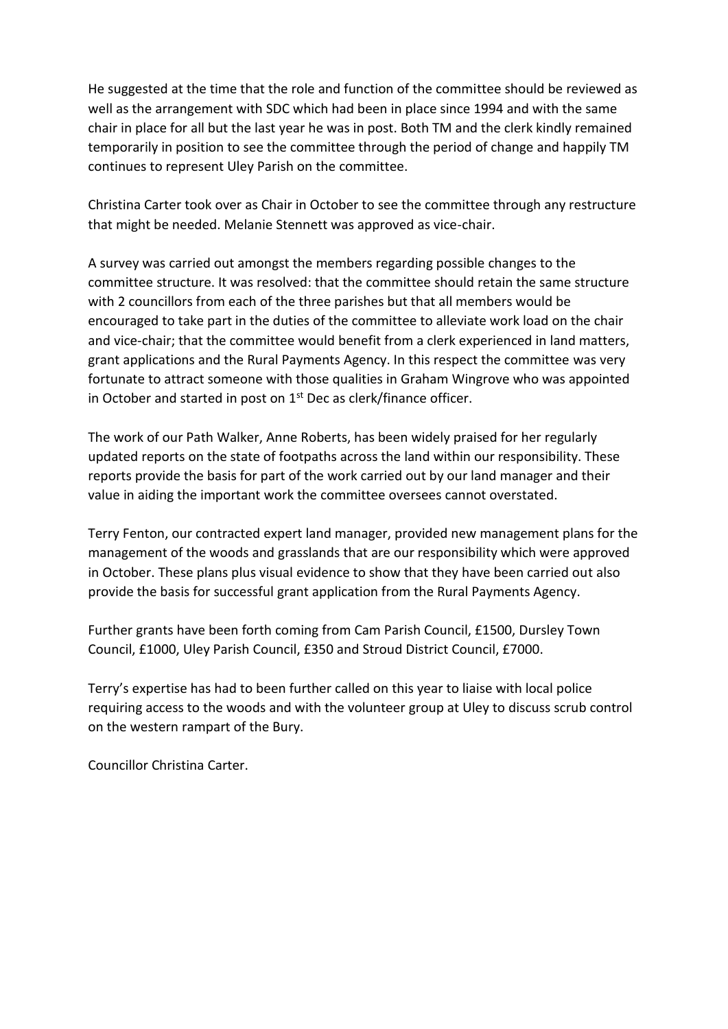He suggested at the time that the role and function of the committee should be reviewed as well as the arrangement with SDC which had been in place since 1994 and with the same chair in place for all but the last year he was in post. Both TM and the clerk kindly remained temporarily in position to see the committee through the period of change and happily TM continues to represent Uley Parish on the committee.

Christina Carter took over as Chair in October to see the committee through any restructure that might be needed. Melanie Stennett was approved as vice-chair.

A survey was carried out amongst the members regarding possible changes to the committee structure. It was resolved: that the committee should retain the same structure with 2 councillors from each of the three parishes but that all members would be encouraged to take part in the duties of the committee to alleviate work load on the chair and vice-chair; that the committee would benefit from a clerk experienced in land matters, grant applications and the Rural Payments Agency. In this respect the committee was very fortunate to attract someone with those qualities in Graham Wingrove who was appointed in October and started in post on  $1<sup>st</sup>$  Dec as clerk/finance officer.

The work of our Path Walker, Anne Roberts, has been widely praised for her regularly updated reports on the state of footpaths across the land within our responsibility. These reports provide the basis for part of the work carried out by our land manager and their value in aiding the important work the committee oversees cannot overstated.

Terry Fenton, our contracted expert land manager, provided new management plans for the management of the woods and grasslands that are our responsibility which were approved in October. These plans plus visual evidence to show that they have been carried out also provide the basis for successful grant application from the Rural Payments Agency.

Further grants have been forth coming from Cam Parish Council, £1500, Dursley Town Council, £1000, Uley Parish Council, £350 and Stroud District Council, £7000.

Terry's expertise has had to been further called on this year to liaise with local police requiring access to the woods and with the volunteer group at Uley to discuss scrub control on the western rampart of the Bury.

Councillor Christina Carter.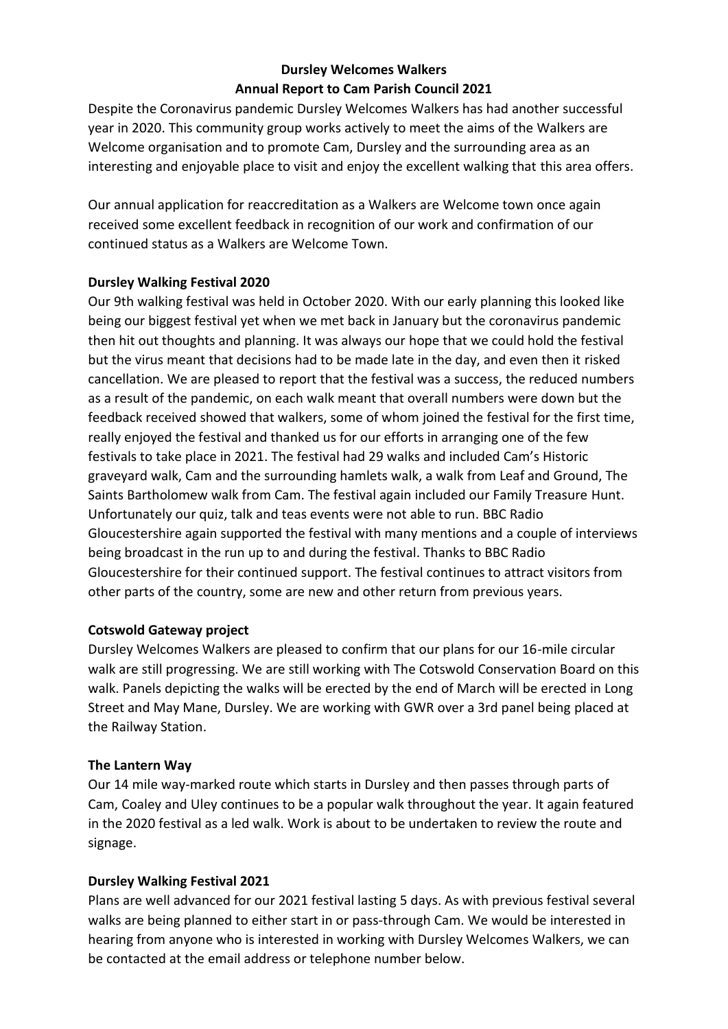## **Dursley Welcomes Walkers Annual Report to Cam Parish Council 2021**

Despite the Coronavirus pandemic Dursley Welcomes Walkers has had another successful year in 2020. This community group works actively to meet the aims of the Walkers are Welcome organisation and to promote Cam, Dursley and the surrounding area as an interesting and enjoyable place to visit and enjoy the excellent walking that this area offers.

Our annual application for reaccreditation as a Walkers are Welcome town once again received some excellent feedback in recognition of our work and confirmation of our continued status as a Walkers are Welcome Town.

## **Dursley Walking Festival 2020**

Our 9th walking festival was held in October 2020. With our early planning this looked like being our biggest festival yet when we met back in January but the coronavirus pandemic then hit out thoughts and planning. It was always our hope that we could hold the festival but the virus meant that decisions had to be made late in the day, and even then it risked cancellation. We are pleased to report that the festival was a success, the reduced numbers as a result of the pandemic, on each walk meant that overall numbers were down but the feedback received showed that walkers, some of whom joined the festival for the first time, really enjoyed the festival and thanked us for our efforts in arranging one of the few festivals to take place in 2021. The festival had 29 walks and included Cam's Historic graveyard walk, Cam and the surrounding hamlets walk, a walk from Leaf and Ground, The Saints Bartholomew walk from Cam. The festival again included our Family Treasure Hunt. Unfortunately our quiz, talk and teas events were not able to run. BBC Radio Gloucestershire again supported the festival with many mentions and a couple of interviews being broadcast in the run up to and during the festival. Thanks to BBC Radio Gloucestershire for their continued support. The festival continues to attract visitors from other parts of the country, some are new and other return from previous years.

## **Cotswold Gateway project**

Dursley Welcomes Walkers are pleased to confirm that our plans for our 16-mile circular walk are still progressing. We are still working with The Cotswold Conservation Board on this walk. Panels depicting the walks will be erected by the end of March will be erected in Long Street and May Mane, Dursley. We are working with GWR over a 3rd panel being placed at the Railway Station.

## **The Lantern Way**

Our 14 mile way-marked route which starts in Dursley and then passes through parts of Cam, Coaley and Uley continues to be a popular walk throughout the year. It again featured in the 2020 festival as a led walk. Work is about to be undertaken to review the route and signage.

## **Dursley Walking Festival 2021**

Plans are well advanced for our 2021 festival lasting 5 days. As with previous festival several walks are being planned to either start in or pass-through Cam. We would be interested in hearing from anyone who is interested in working with Dursley Welcomes Walkers, we can be contacted at the email address or telephone number below.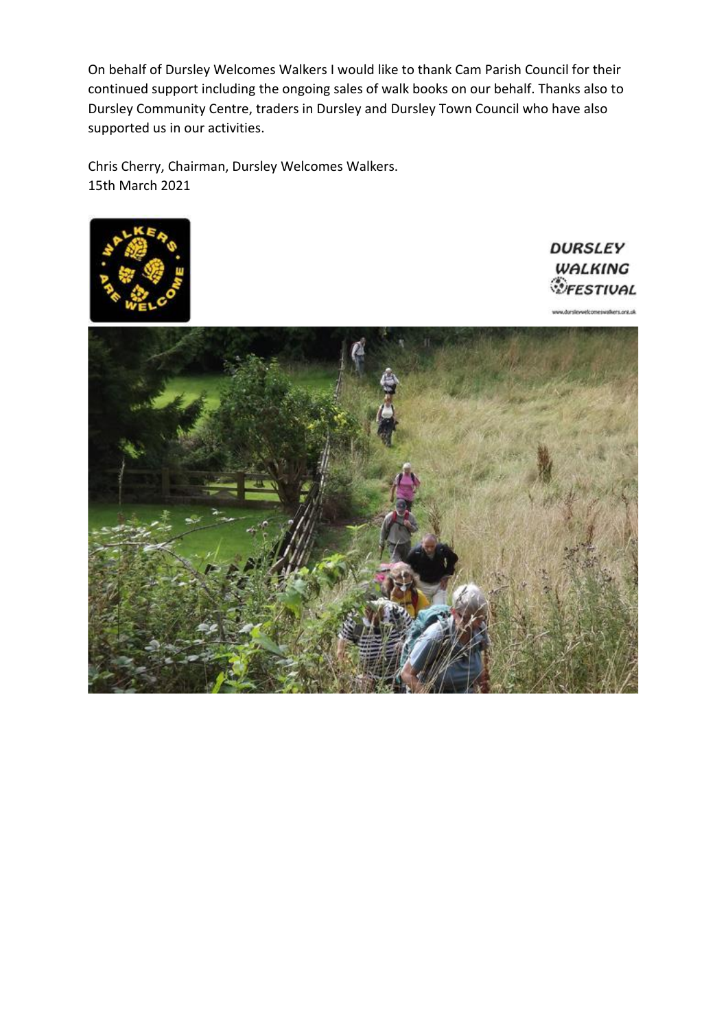On behalf of Dursley Welcomes Walkers I would like to thank Cam Parish Council for their continued support including the ongoing sales of walk books on our behalf. Thanks also to Dursley Community Centre, traders in Dursley and Dursley Town Council who have also supported us in our activities.

Chris Cherry, Chairman, Dursley Welcomes Walkers. 15th March 2021



**DURSLEY** WALKING *<u><i>VEESTIVAL*</u>

.<br>Ar sen escalares nea rà

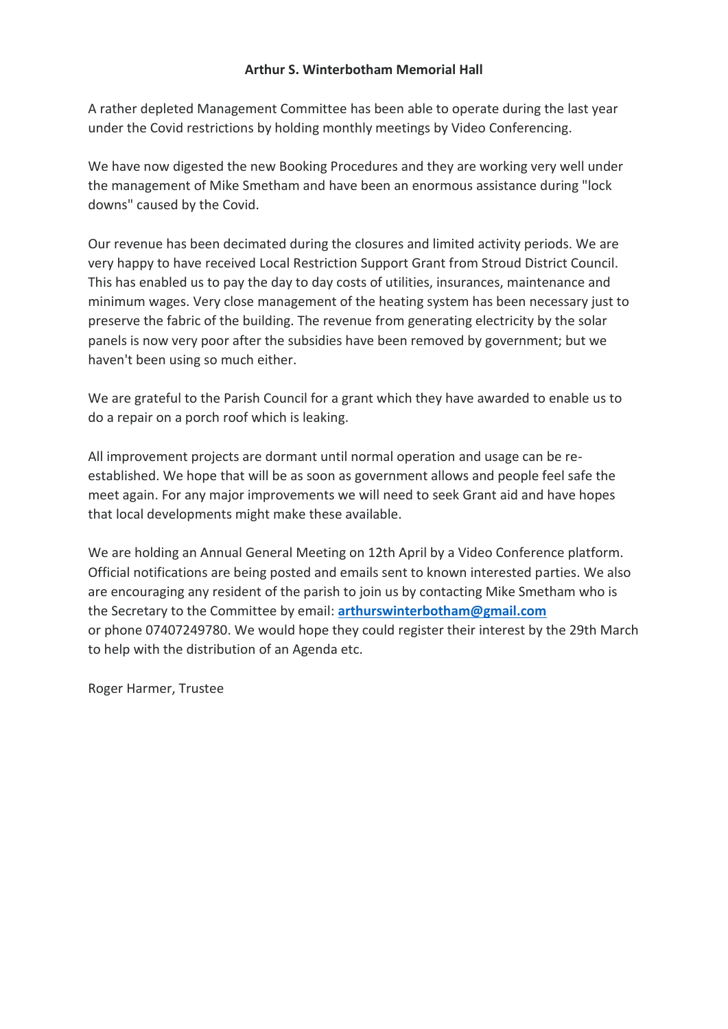#### **Arthur S. Winterbotham Memorial Hall**

A rather depleted Management Committee has been able to operate during the last year under the Covid restrictions by holding monthly meetings by Video Conferencing.

We have now digested the new Booking Procedures and they are working very well under the management of Mike Smetham and have been an enormous assistance during "lock downs" caused by the Covid.

Our revenue has been decimated during the closures and limited activity periods. We are very happy to have received Local Restriction Support Grant from Stroud District Council. This has enabled us to pay the day to day costs of utilities, insurances, maintenance and minimum wages. Very close management of the heating system has been necessary just to preserve the fabric of the building. The revenue from generating electricity by the solar panels is now very poor after the subsidies have been removed by government; but we haven't been using so much either.

We are grateful to the Parish Council for a grant which they have awarded to enable us to do a repair on a porch roof which is leaking.

All improvement projects are dormant until normal operation and usage can be reestablished. We hope that will be as soon as government allows and people feel safe the meet again. For any major improvements we will need to seek Grant aid and have hopes that local developments might make these available.

We are holding an Annual General Meeting on 12th April by a Video Conference platform. Official notifications are being posted and emails sent to known interested parties. We also are encouraging any resident of the parish to join us by contacting Mike Smetham who is the Secretary to the Committee by email: **[arthurswinterbotham@gmail.com](mailto:arthurswinterbotham@gmail.com)** or phone 07407249780. We would hope they could register their interest by the 29th March to help with the distribution of an Agenda etc.

Roger Harmer, Trustee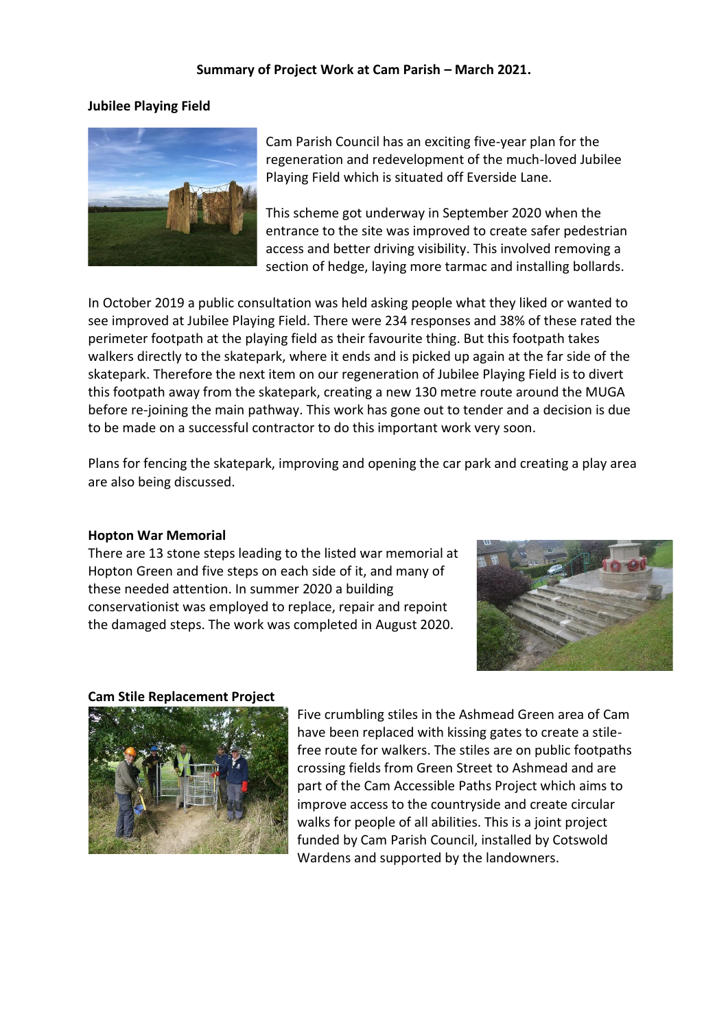#### **Summary of Project Work at Cam Parish – March 2021.**

#### **Jubilee Playing Field**



Cam Parish Council has an exciting five-year plan for the regeneration and redevelopment of the much-loved Jubilee Playing Field which is situated off Everside Lane.

This scheme got underway in September 2020 when the entrance to the site was improved to create safer pedestrian access and better driving visibility. This involved removing a section of hedge, laying more tarmac and installing bollards.

In October 2019 a public consultation was held asking people what they liked or wanted to see improved at Jubilee Playing Field. There were 234 responses and 38% of these rated the perimeter footpath at the playing field as their favourite thing. But this footpath takes walkers directly to the skatepark, where it ends and is picked up again at the far side of the skatepark. Therefore the next item on our regeneration of Jubilee Playing Field is to divert this footpath away from the skatepark, creating a new 130 metre route around the MUGA before re-joining the main pathway. This work has gone out to tender and a decision is due to be made on a successful contractor to do this important work very soon.

Plans for fencing the skatepark, improving and opening the car park and creating a play area are also being discussed.

#### **Hopton War Memorial**

There are 13 stone steps leading to the listed war memorial at Hopton Green and five steps on each side of it, and many of these needed attention. In summer 2020 a building conservationist was employed to replace, repair and repoint the damaged steps. The work was completed in August 2020.



#### **Cam Stile Replacement Project**



Five crumbling stiles in the Ashmead Green area of Cam have been replaced with kissing gates to create a stilefree route for walkers. The stiles are on public footpaths crossing fields from Green Street to Ashmead and are part of the Cam Accessible Paths Project which aims to improve access to the countryside and create circular walks for people of all abilities. This is a joint project funded by Cam Parish Council, installed by Cotswold Wardens and supported by the landowners.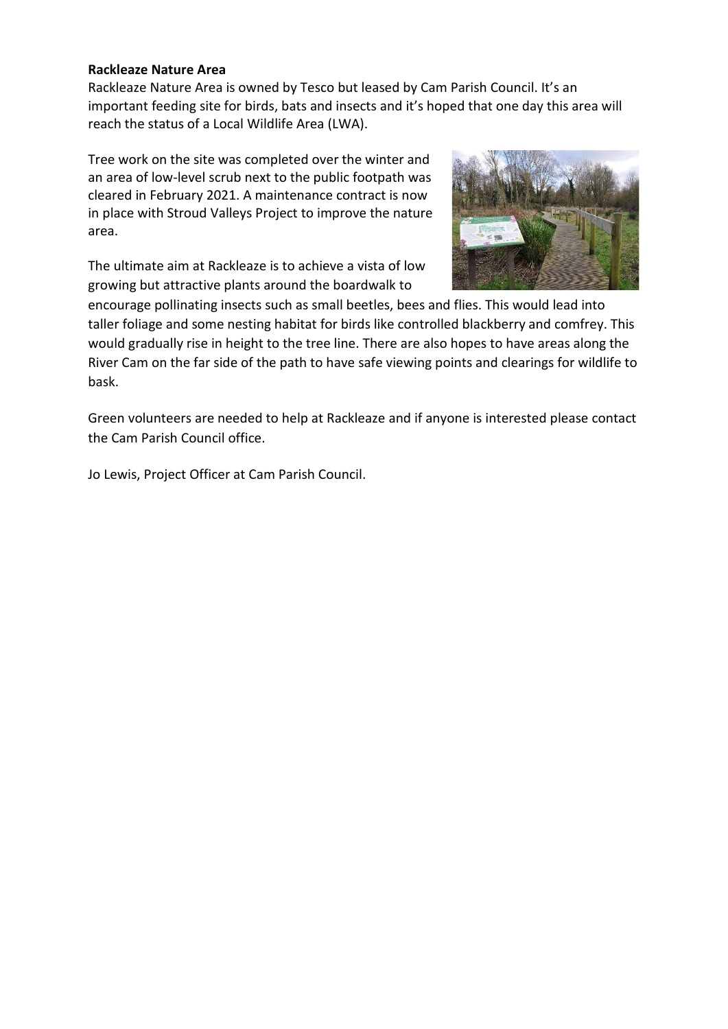#### **Rackleaze Nature Area**

Rackleaze Nature Area is owned by Tesco but leased by Cam Parish Council. It's an important feeding site for birds, bats and insects and it's hoped that one day this area will reach the status of a Local Wildlife Area (LWA).

Tree work on the site was completed over the winter and an area of low-level scrub next to the public footpath was cleared in February 2021. A maintenance contract is now in place with Stroud Valleys Project to improve the nature area.

The ultimate aim at Rackleaze is to achieve a vista of low growing but attractive plants around the boardwalk to



encourage pollinating insects such as small beetles, bees and flies. This would lead into taller foliage and some nesting habitat for birds like controlled blackberry and comfrey. This would gradually rise in height to the tree line. There are also hopes to have areas along the River Cam on the far side of the path to have safe viewing points and clearings for wildlife to bask.

Green volunteers are needed to help at Rackleaze and if anyone is interested please contact the Cam Parish Council office.

Jo Lewis, Project Officer at Cam Parish Council.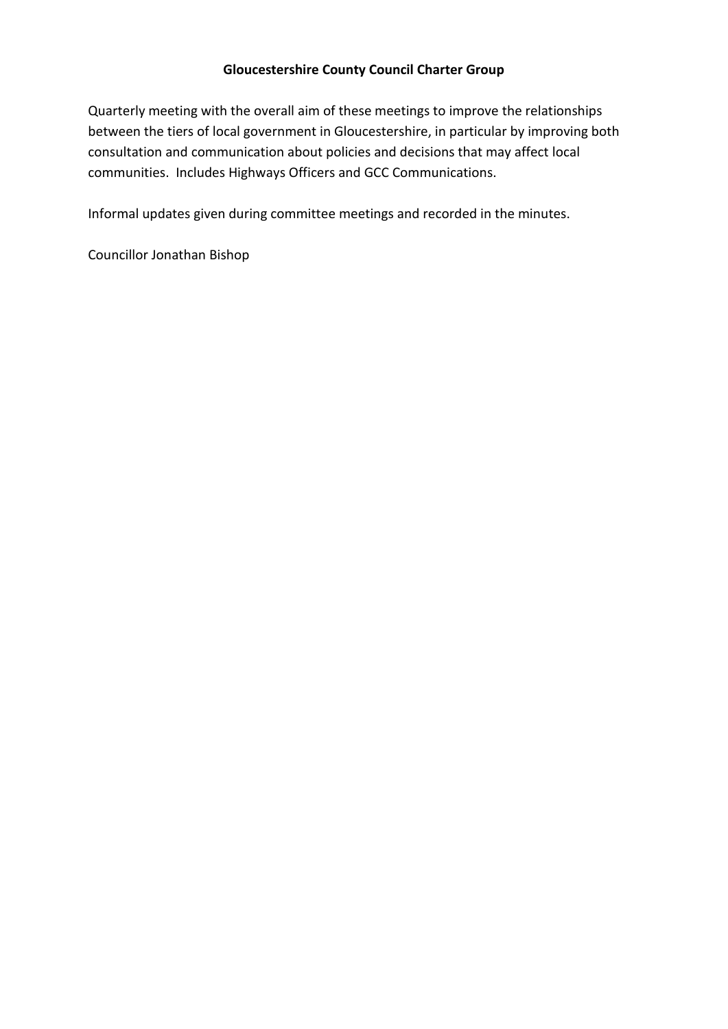## **Gloucestershire County Council Charter Group**

Quarterly meeting with the overall aim of these meetings to improve the relationships between the tiers of local government in Gloucestershire, in particular by improving both consultation and communication about policies and decisions that may affect local communities. Includes Highways Officers and GCC Communications.

Informal updates given during committee meetings and recorded in the minutes.

Councillor Jonathan Bishop